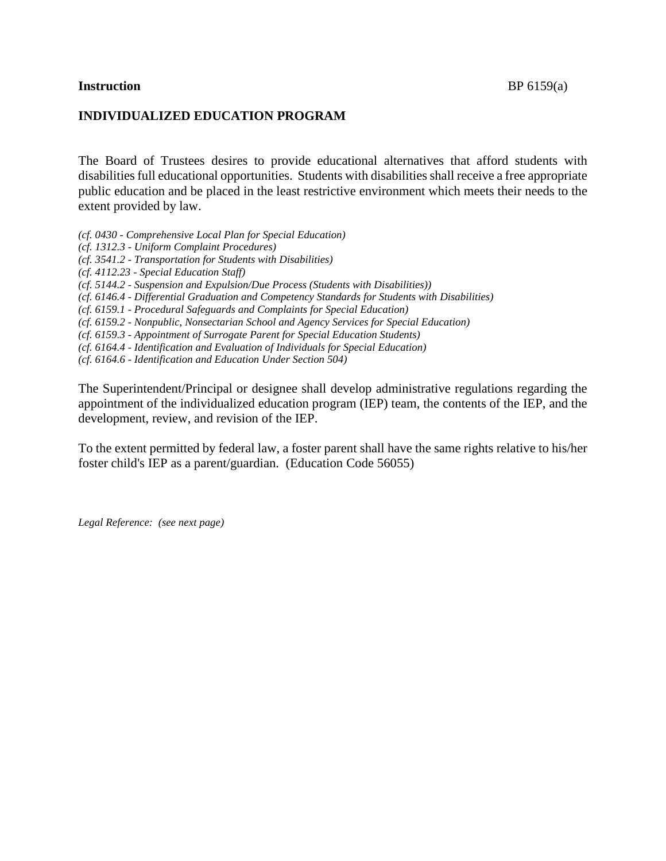#### **Instruction** BP 6159(a)

### **INDIVIDUALIZED EDUCATION PROGRAM**

The Board of Trustees desires to provide educational alternatives that afford students with disabilities full educational opportunities. Students with disabilities shall receive a free appropriate public education and be placed in the least restrictive environment which meets their needs to the extent provided by law.

*(cf. 0430 - Comprehensive Local Plan for Special Education)*

*(cf. 1312.3 - Uniform Complaint Procedures)*

*(cf. 3541.2 - Transportation for Students with Disabilities)*

*(cf. 4112.23 - Special Education Staff)*

*(cf. 5144.2 - Suspension and Expulsion/Due Process (Students with Disabilities))*

*(cf. 6146.4 - Differential Graduation and Competency Standards for Students with Disabilities)*

*(cf. 6159.1 - Procedural Safeguards and Complaints for Special Education)*

*(cf. 6159.2 - Nonpublic, Nonsectarian School and Agency Services for Special Education)*

*(cf. 6159.3 - Appointment of Surrogate Parent for Special Education Students)*

*(cf. 6164.4 - Identification and Evaluation of Individuals for Special Education)*

*(cf. 6164.6 - Identification and Education Under Section 504)*

The Superintendent/Principal or designee shall develop administrative regulations regarding the appointment of the individualized education program (IEP) team, the contents of the IEP, and the development, review, and revision of the IEP.

To the extent permitted by federal law, a foster parent shall have the same rights relative to his/her foster child's IEP as a parent/guardian. (Education Code 56055)

*Legal Reference: (see next page)*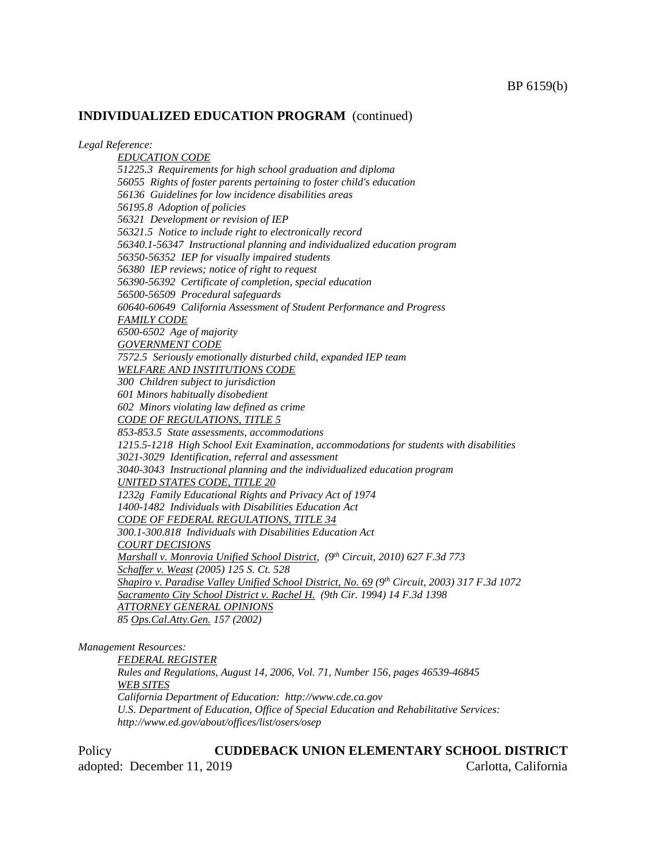*Legal Reference:*

*EDUCATION CODE 51225.3 Requirements for high school graduation and diploma 56055 Rights of foster parents pertaining to foster child's education 56136 Guidelines for low incidence disabilities areas 56195.8 Adoption of policies 56321 Development or revision of IEP 56321.5 Notice to include right to electronically record 56340.1-56347 Instructional planning and individualized education program 56350-56352 IEP for visually impaired students 56380 IEP reviews; notice of right to request 56390-56392 Certificate of completion, special education 56500-56509 Procedural safeguards 60640-60649 California Assessment of Student Performance and Progress FAMILY CODE 6500-6502 Age of majority GOVERNMENT CODE 7572.5 Seriously emotionally disturbed child, expanded IEP team WELFARE AND INSTITUTIONS CODE 300 Children subject to jurisdiction 601 Minors habitually disobedient 602 Minors violating law defined as crime CODE OF REGULATIONS, TITLE 5 853-853.5 State assessments, accommodations 1215.5-1218 High School Exit Examination, accommodations for students with disabilities 3021-3029 Identification, referral and assessment 3040-3043 Instructional planning and the individualized education program UNITED STATES CODE, TITLE 20 1232g Family Educational Rights and Privacy Act of 1974 1400-1482 Individuals with Disabilities Education Act CODE OF FEDERAL REGULATIONS, TITLE 34 300.1-300.818 Individuals with Disabilities Education Act COURT DECISIONS Marshall v. Monrovia Unified School District, (9th Circuit, 2010) 627 F.3d 773 Schaffer v. Weast (2005) 125 S. Ct. 528 Shapiro v. Paradise Valley Unified School District, No. 69 (9th Circuit, 2003) 317 F.3d 1072 Sacramento City School District v. Rachel H. (9th Cir. 1994) 14 F.3d 1398 ATTORNEY GENERAL OPINIONS 85 Ops.Cal.Atty.Gen. 157 (2002)*

*Management Resources:*

*FEDERAL REGISTER Rules and Regulations, August 14, 2006, Vol. 71, Number 156, pages 46539-46845 WEB SITES California Department of Education: http://www.cde.ca.gov U.S. Department of Education, Office of Special Education and Rehabilitative Services: http://www.ed.gov/about/offices/list/osers/osep*

Policy **CUDDEBACK UNION ELEMENTARY SCHOOL DISTRICT** adopted: December 11, 2019 Carlotta, California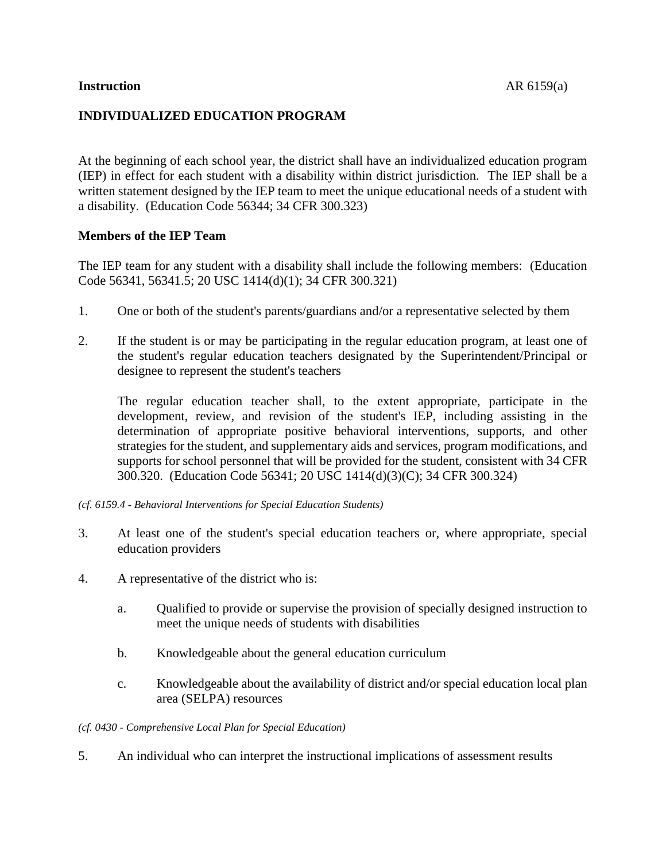### **Instruction** AR 6159(a)

## **INDIVIDUALIZED EDUCATION PROGRAM**

At the beginning of each school year, the district shall have an individualized education program (IEP) in effect for each student with a disability within district jurisdiction. The IEP shall be a written statement designed by the IEP team to meet the unique educational needs of a student with a disability. (Education Code 56344; 34 CFR 300.323)

### **Members of the IEP Team**

The IEP team for any student with a disability shall include the following members: (Education Code 56341, 56341.5; 20 USC 1414(d)(1); 34 CFR 300.321)

- 1. One or both of the student's parents/guardians and/or a representative selected by them
- 2. If the student is or may be participating in the regular education program, at least one of the student's regular education teachers designated by the Superintendent/Principal or designee to represent the student's teachers

The regular education teacher shall, to the extent appropriate, participate in the development, review, and revision of the student's IEP, including assisting in the determination of appropriate positive behavioral interventions, supports, and other strategies for the student, and supplementary aids and services, program modifications, and supports for school personnel that will be provided for the student, consistent with 34 CFR 300.320. (Education Code 56341; 20 USC 1414(d)(3)(C); 34 CFR 300.324)

*(cf. 6159.4 - Behavioral Interventions for Special Education Students)*

- 3. At least one of the student's special education teachers or, where appropriate, special education providers
- 4. A representative of the district who is:
	- a. Qualified to provide or supervise the provision of specially designed instruction to meet the unique needs of students with disabilities
	- b. Knowledgeable about the general education curriculum
	- c. Knowledgeable about the availability of district and/or special education local plan area (SELPA) resources

#### *(cf. 0430 - Comprehensive Local Plan for Special Education)*

5. An individual who can interpret the instructional implications of assessment results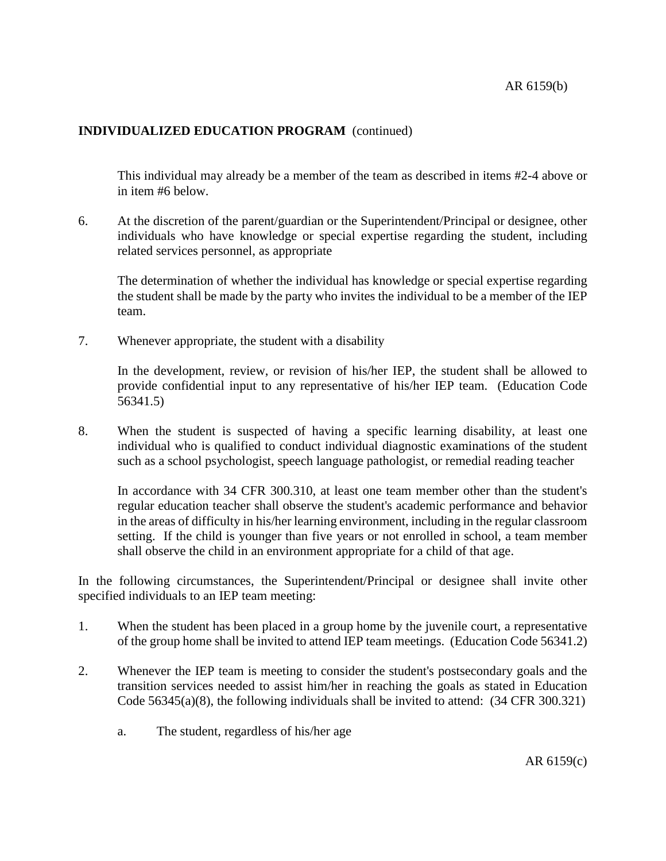This individual may already be a member of the team as described in items #2-4 above or in item #6 below.

6. At the discretion of the parent/guardian or the Superintendent/Principal or designee, other individuals who have knowledge or special expertise regarding the student, including related services personnel, as appropriate

The determination of whether the individual has knowledge or special expertise regarding the student shall be made by the party who invites the individual to be a member of the IEP team.

7. Whenever appropriate, the student with a disability

In the development, review, or revision of his/her IEP, the student shall be allowed to provide confidential input to any representative of his/her IEP team. (Education Code 56341.5)

8. When the student is suspected of having a specific learning disability, at least one individual who is qualified to conduct individual diagnostic examinations of the student such as a school psychologist, speech language pathologist, or remedial reading teacher

In accordance with 34 CFR 300.310, at least one team member other than the student's regular education teacher shall observe the student's academic performance and behavior in the areas of difficulty in his/her learning environment, including in the regular classroom setting. If the child is younger than five years or not enrolled in school, a team member shall observe the child in an environment appropriate for a child of that age.

In the following circumstances, the Superintendent/Principal or designee shall invite other specified individuals to an IEP team meeting:

- 1. When the student has been placed in a group home by the juvenile court, a representative of the group home shall be invited to attend IEP team meetings. (Education Code 56341.2)
- 2. Whenever the IEP team is meeting to consider the student's postsecondary goals and the transition services needed to assist him/her in reaching the goals as stated in Education Code 56345(a)(8), the following individuals shall be invited to attend: (34 CFR 300.321)
	- a. The student, regardless of his/her age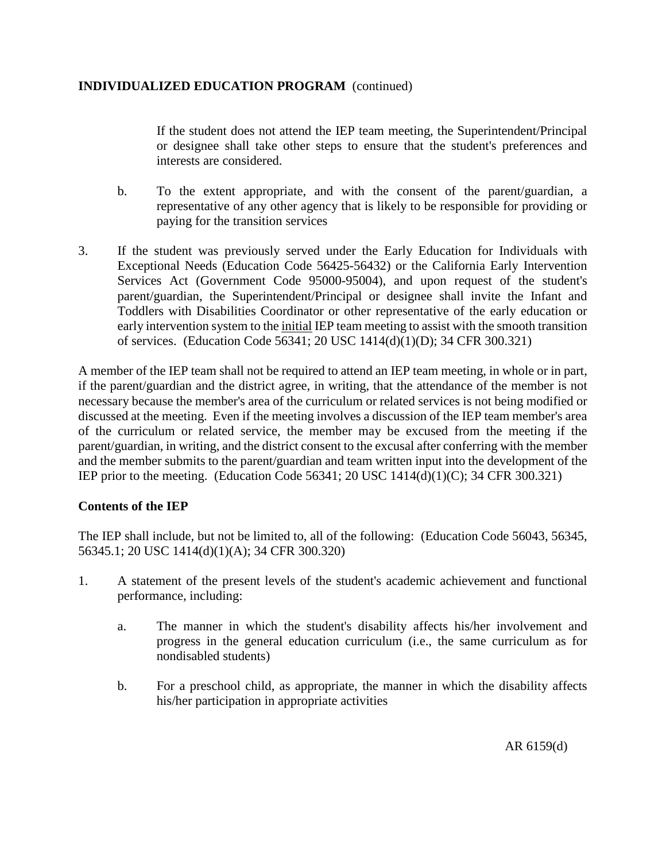If the student does not attend the IEP team meeting, the Superintendent/Principal or designee shall take other steps to ensure that the student's preferences and interests are considered.

- b. To the extent appropriate, and with the consent of the parent/guardian, a representative of any other agency that is likely to be responsible for providing or paying for the transition services
- 3. If the student was previously served under the Early Education for Individuals with Exceptional Needs (Education Code 56425-56432) or the California Early Intervention Services Act (Government Code 95000-95004), and upon request of the student's parent/guardian, the Superintendent/Principal or designee shall invite the Infant and Toddlers with Disabilities Coordinator or other representative of the early education or early intervention system to the initial IEP team meeting to assist with the smooth transition of services. (Education Code 56341; 20 USC 1414(d)(1)(D); 34 CFR 300.321)

A member of the IEP team shall not be required to attend an IEP team meeting, in whole or in part, if the parent/guardian and the district agree, in writing, that the attendance of the member is not necessary because the member's area of the curriculum or related services is not being modified or discussed at the meeting. Even if the meeting involves a discussion of the IEP team member's area of the curriculum or related service, the member may be excused from the meeting if the parent/guardian, in writing, and the district consent to the excusal after conferring with the member and the member submits to the parent/guardian and team written input into the development of the IEP prior to the meeting. (Education Code 56341; 20 USC 1414(d)(1)(C); 34 CFR 300.321)

# **Contents of the IEP**

The IEP shall include, but not be limited to, all of the following: (Education Code 56043, 56345, 56345.1; 20 USC 1414(d)(1)(A); 34 CFR 300.320)

- 1. A statement of the present levels of the student's academic achievement and functional performance, including:
	- a. The manner in which the student's disability affects his/her involvement and progress in the general education curriculum (i.e., the same curriculum as for nondisabled students)
	- b. For a preschool child, as appropriate, the manner in which the disability affects his/her participation in appropriate activities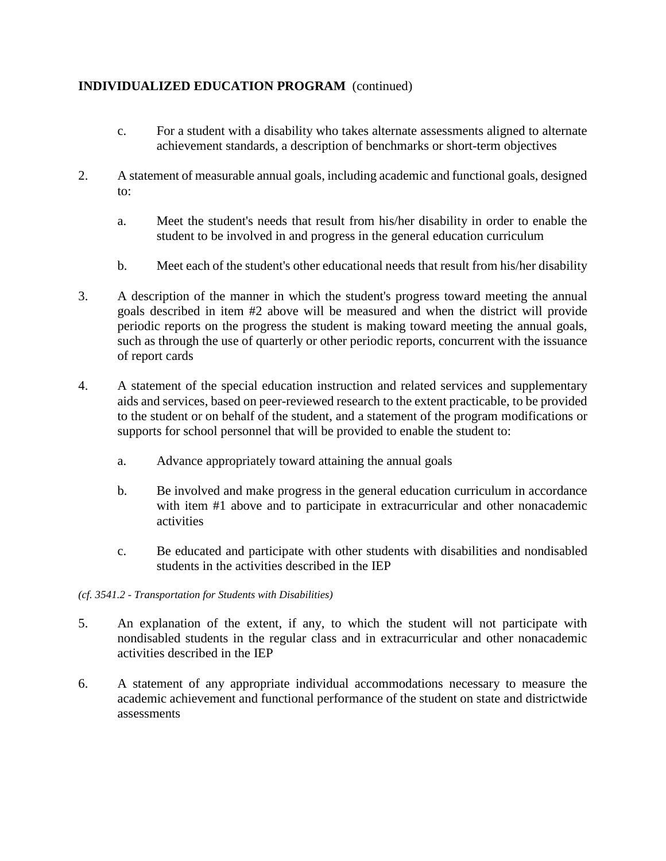- c. For a student with a disability who takes alternate assessments aligned to alternate achievement standards, a description of benchmarks or short-term objectives
- 2. A statement of measurable annual goals, including academic and functional goals, designed to:
	- a. Meet the student's needs that result from his/her disability in order to enable the student to be involved in and progress in the general education curriculum
	- b. Meet each of the student's other educational needs that result from his/her disability
- 3. A description of the manner in which the student's progress toward meeting the annual goals described in item #2 above will be measured and when the district will provide periodic reports on the progress the student is making toward meeting the annual goals, such as through the use of quarterly or other periodic reports, concurrent with the issuance of report cards
- 4. A statement of the special education instruction and related services and supplementary aids and services, based on peer-reviewed research to the extent practicable, to be provided to the student or on behalf of the student, and a statement of the program modifications or supports for school personnel that will be provided to enable the student to:
	- a. Advance appropriately toward attaining the annual goals
	- b. Be involved and make progress in the general education curriculum in accordance with item #1 above and to participate in extracurricular and other nonacademic activities
	- c. Be educated and participate with other students with disabilities and nondisabled students in the activities described in the IEP
- *(cf. 3541.2 - Transportation for Students with Disabilities)*
- 5. An explanation of the extent, if any, to which the student will not participate with nondisabled students in the regular class and in extracurricular and other nonacademic activities described in the IEP
- 6. A statement of any appropriate individual accommodations necessary to measure the academic achievement and functional performance of the student on state and districtwide assessments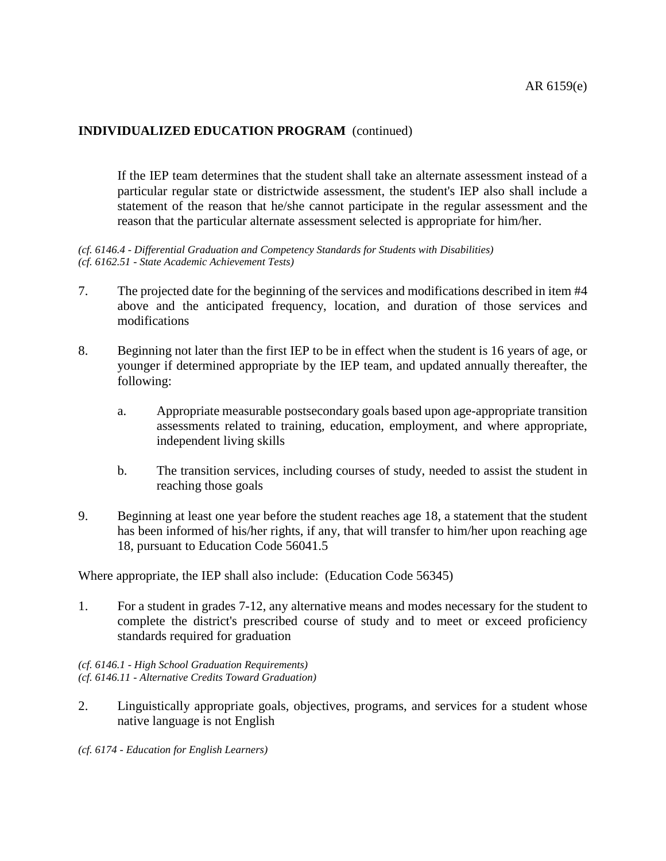If the IEP team determines that the student shall take an alternate assessment instead of a particular regular state or districtwide assessment, the student's IEP also shall include a statement of the reason that he/she cannot participate in the regular assessment and the reason that the particular alternate assessment selected is appropriate for him/her.

*(cf. 6146.4 - Differential Graduation and Competency Standards for Students with Disabilities) (cf. 6162.51 - State Academic Achievement Tests)*

- 7. The projected date for the beginning of the services and modifications described in item #4 above and the anticipated frequency, location, and duration of those services and modifications
- 8. Beginning not later than the first IEP to be in effect when the student is 16 years of age, or younger if determined appropriate by the IEP team, and updated annually thereafter, the following:
	- a. Appropriate measurable postsecondary goals based upon age-appropriate transition assessments related to training, education, employment, and where appropriate, independent living skills
	- b. The transition services, including courses of study, needed to assist the student in reaching those goals
- 9. Beginning at least one year before the student reaches age 18, a statement that the student has been informed of his/her rights, if any, that will transfer to him/her upon reaching age 18, pursuant to Education Code 56041.5

Where appropriate, the IEP shall also include: (Education Code 56345)

1. For a student in grades 7-12, any alternative means and modes necessary for the student to complete the district's prescribed course of study and to meet or exceed proficiency standards required for graduation

*(cf. 6146.1 - High School Graduation Requirements) (cf. 6146.11 - Alternative Credits Toward Graduation)*

- 2. Linguistically appropriate goals, objectives, programs, and services for a student whose native language is not English
- *(cf. 6174 - Education for English Learners)*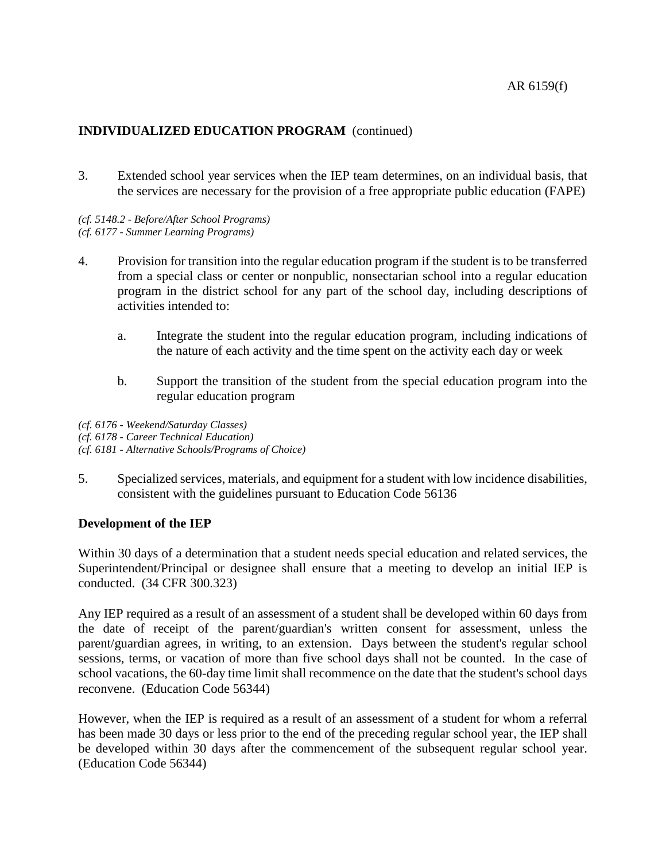3. Extended school year services when the IEP team determines, on an individual basis, that the services are necessary for the provision of a free appropriate public education (FAPE)

*(cf. 5148.2 - Before/After School Programs) (cf. 6177 - Summer Learning Programs)*

- 4. Provision for transition into the regular education program if the student is to be transferred from a special class or center or nonpublic, nonsectarian school into a regular education program in the district school for any part of the school day, including descriptions of activities intended to:
	- a. Integrate the student into the regular education program, including indications of the nature of each activity and the time spent on the activity each day or week
	- b. Support the transition of the student from the special education program into the regular education program

*(cf. 6176 - Weekend/Saturday Classes) (cf. 6178 - Career Technical Education) (cf. 6181 - Alternative Schools/Programs of Choice)*

5. Specialized services, materials, and equipment for a student with low incidence disabilities, consistent with the guidelines pursuant to Education Code 56136

### **Development of the IEP**

Within 30 days of a determination that a student needs special education and related services, the Superintendent/Principal or designee shall ensure that a meeting to develop an initial IEP is conducted. (34 CFR 300.323)

Any IEP required as a result of an assessment of a student shall be developed within 60 days from the date of receipt of the parent/guardian's written consent for assessment, unless the parent/guardian agrees, in writing, to an extension. Days between the student's regular school sessions, terms, or vacation of more than five school days shall not be counted. In the case of school vacations, the 60-day time limit shall recommence on the date that the student's school days reconvene. (Education Code 56344)

However, when the IEP is required as a result of an assessment of a student for whom a referral has been made 30 days or less prior to the end of the preceding regular school year, the IEP shall be developed within 30 days after the commencement of the subsequent regular school year. (Education Code 56344)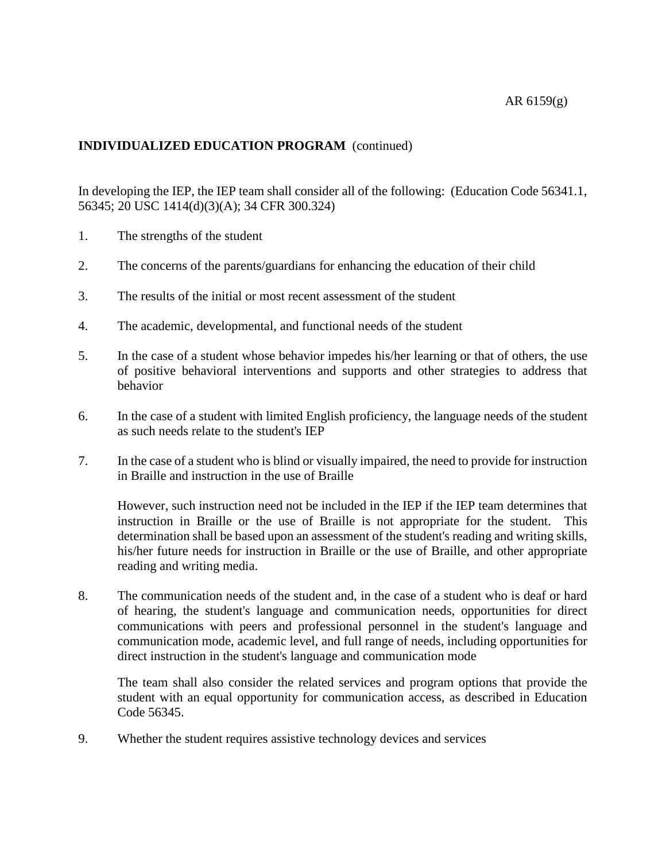### AR 6159(g)

# **INDIVIDUALIZED EDUCATION PROGRAM** (continued)

In developing the IEP, the IEP team shall consider all of the following: (Education Code 56341.1, 56345; 20 USC 1414(d)(3)(A); 34 CFR 300.324)

- 1. The strengths of the student
- 2. The concerns of the parents/guardians for enhancing the education of their child
- 3. The results of the initial or most recent assessment of the student
- 4. The academic, developmental, and functional needs of the student
- 5. In the case of a student whose behavior impedes his/her learning or that of others, the use of positive behavioral interventions and supports and other strategies to address that behavior
- 6. In the case of a student with limited English proficiency, the language needs of the student as such needs relate to the student's IEP
- 7. In the case of a student who is blind or visually impaired, the need to provide for instruction in Braille and instruction in the use of Braille

However, such instruction need not be included in the IEP if the IEP team determines that instruction in Braille or the use of Braille is not appropriate for the student. This determination shall be based upon an assessment of the student's reading and writing skills, his/her future needs for instruction in Braille or the use of Braille, and other appropriate reading and writing media.

8. The communication needs of the student and, in the case of a student who is deaf or hard of hearing, the student's language and communication needs, opportunities for direct communications with peers and professional personnel in the student's language and communication mode, academic level, and full range of needs, including opportunities for direct instruction in the student's language and communication mode

The team shall also consider the related services and program options that provide the student with an equal opportunity for communication access, as described in Education Code 56345.

9. Whether the student requires assistive technology devices and services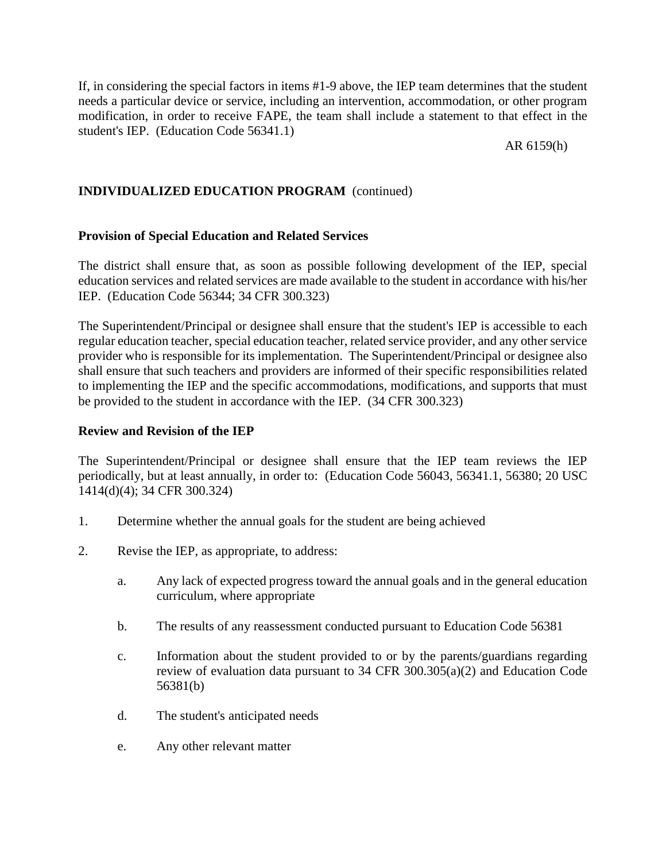If, in considering the special factors in items #1-9 above, the IEP team determines that the student needs a particular device or service, including an intervention, accommodation, or other program modification, in order to receive FAPE, the team shall include a statement to that effect in the student's IEP. (Education Code 56341.1)

AR 6159(h)

# **INDIVIDUALIZED EDUCATION PROGRAM** (continued)

## **Provision of Special Education and Related Services**

The district shall ensure that, as soon as possible following development of the IEP, special education services and related services are made available to the student in accordance with his/her IEP. (Education Code 56344; 34 CFR 300.323)

The Superintendent/Principal or designee shall ensure that the student's IEP is accessible to each regular education teacher, special education teacher, related service provider, and any other service provider who is responsible for its implementation. The Superintendent/Principal or designee also shall ensure that such teachers and providers are informed of their specific responsibilities related to implementing the IEP and the specific accommodations, modifications, and supports that must be provided to the student in accordance with the IEP. (34 CFR 300.323)

### **Review and Revision of the IEP**

The Superintendent/Principal or designee shall ensure that the IEP team reviews the IEP periodically, but at least annually, in order to: (Education Code 56043, 56341.1, 56380; 20 USC 1414(d)(4); 34 CFR 300.324)

- 1. Determine whether the annual goals for the student are being achieved
- 2. Revise the IEP, as appropriate, to address:
	- a. Any lack of expected progress toward the annual goals and in the general education curriculum, where appropriate
	- b. The results of any reassessment conducted pursuant to Education Code 56381
	- c. Information about the student provided to or by the parents/guardians regarding review of evaluation data pursuant to 34 CFR 300.305(a)(2) and Education Code 56381(b)
	- d. The student's anticipated needs
	- e. Any other relevant matter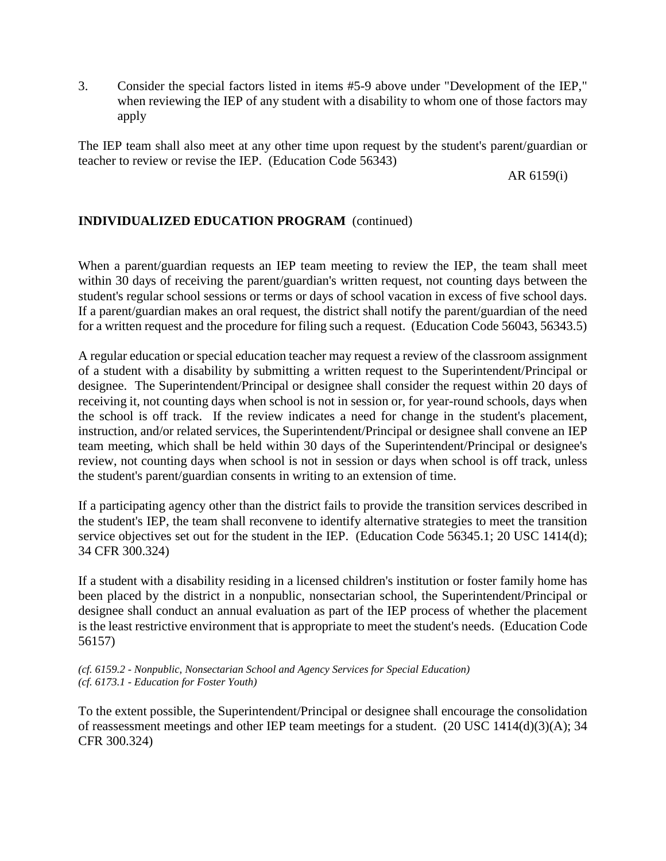3. Consider the special factors listed in items #5-9 above under "Development of the IEP," when reviewing the IEP of any student with a disability to whom one of those factors may apply

The IEP team shall also meet at any other time upon request by the student's parent/guardian or teacher to review or revise the IEP. (Education Code 56343)

AR 6159(i)

# **INDIVIDUALIZED EDUCATION PROGRAM** (continued)

When a parent/guardian requests an IEP team meeting to review the IEP, the team shall meet within 30 days of receiving the parent/guardian's written request, not counting days between the student's regular school sessions or terms or days of school vacation in excess of five school days. If a parent/guardian makes an oral request, the district shall notify the parent/guardian of the need for a written request and the procedure for filing such a request. (Education Code 56043, 56343.5)

A regular education or special education teacher may request a review of the classroom assignment of a student with a disability by submitting a written request to the Superintendent/Principal or designee. The Superintendent/Principal or designee shall consider the request within 20 days of receiving it, not counting days when school is not in session or, for year-round schools, days when the school is off track. If the review indicates a need for change in the student's placement, instruction, and/or related services, the Superintendent/Principal or designee shall convene an IEP team meeting, which shall be held within 30 days of the Superintendent/Principal or designee's review, not counting days when school is not in session or days when school is off track, unless the student's parent/guardian consents in writing to an extension of time.

If a participating agency other than the district fails to provide the transition services described in the student's IEP, the team shall reconvene to identify alternative strategies to meet the transition service objectives set out for the student in the IEP. (Education Code 56345.1; 20 USC 1414(d); 34 CFR 300.324)

If a student with a disability residing in a licensed children's institution or foster family home has been placed by the district in a nonpublic, nonsectarian school, the Superintendent/Principal or designee shall conduct an annual evaluation as part of the IEP process of whether the placement is the least restrictive environment that is appropriate to meet the student's needs. (Education Code 56157)

*(cf. 6159.2 - Nonpublic, Nonsectarian School and Agency Services for Special Education) (cf. 6173.1 - Education for Foster Youth)*

To the extent possible, the Superintendent/Principal or designee shall encourage the consolidation of reassessment meetings and other IEP team meetings for a student. (20 USC 1414(d)(3)(A); 34 CFR 300.324)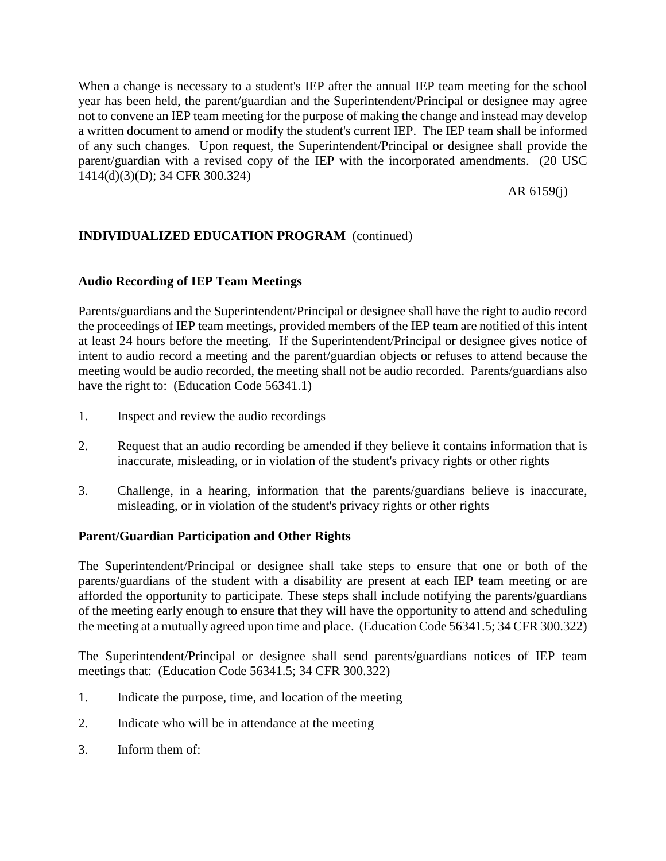When a change is necessary to a student's IEP after the annual IEP team meeting for the school year has been held, the parent/guardian and the Superintendent/Principal or designee may agree not to convene an IEP team meeting for the purpose of making the change and instead may develop a written document to amend or modify the student's current IEP. The IEP team shall be informed of any such changes. Upon request, the Superintendent/Principal or designee shall provide the parent/guardian with a revised copy of the IEP with the incorporated amendments. (20 USC 1414(d)(3)(D); 34 CFR 300.324)

AR 6159(j)

# **INDIVIDUALIZED EDUCATION PROGRAM** (continued)

## **Audio Recording of IEP Team Meetings**

Parents/guardians and the Superintendent/Principal or designee shall have the right to audio record the proceedings of IEP team meetings, provided members of the IEP team are notified of this intent at least 24 hours before the meeting. If the Superintendent/Principal or designee gives notice of intent to audio record a meeting and the parent/guardian objects or refuses to attend because the meeting would be audio recorded, the meeting shall not be audio recorded. Parents/guardians also have the right to: (Education Code 56341.1)

- 1. Inspect and review the audio recordings
- 2. Request that an audio recording be amended if they believe it contains information that is inaccurate, misleading, or in violation of the student's privacy rights or other rights
- 3. Challenge, in a hearing, information that the parents/guardians believe is inaccurate, misleading, or in violation of the student's privacy rights or other rights

### **Parent/Guardian Participation and Other Rights**

The Superintendent/Principal or designee shall take steps to ensure that one or both of the parents/guardians of the student with a disability are present at each IEP team meeting or are afforded the opportunity to participate. These steps shall include notifying the parents/guardians of the meeting early enough to ensure that they will have the opportunity to attend and scheduling the meeting at a mutually agreed upon time and place. (Education Code 56341.5; 34 CFR 300.322)

The Superintendent/Principal or designee shall send parents/guardians notices of IEP team meetings that: (Education Code 56341.5; 34 CFR 300.322)

- 1. Indicate the purpose, time, and location of the meeting
- 2. Indicate who will be in attendance at the meeting
- 3. Inform them of: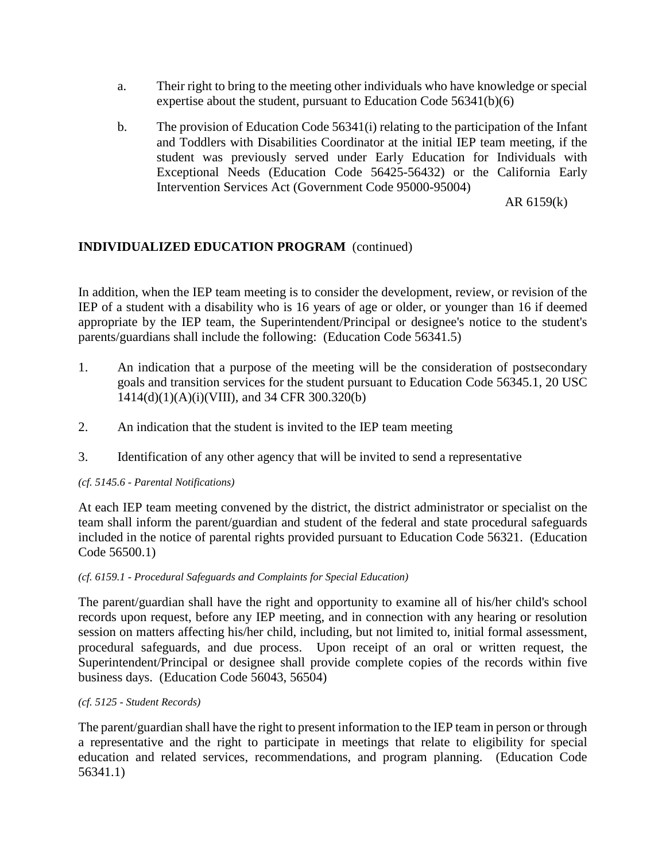- a. Their right to bring to the meeting other individuals who have knowledge or special expertise about the student, pursuant to Education Code 56341(b)(6)
- b. The provision of Education Code 56341(i) relating to the participation of the Infant and Toddlers with Disabilities Coordinator at the initial IEP team meeting, if the student was previously served under Early Education for Individuals with Exceptional Needs (Education Code 56425-56432) or the California Early Intervention Services Act (Government Code 95000-95004)

AR 6159(k)

# **INDIVIDUALIZED EDUCATION PROGRAM** (continued)

In addition, when the IEP team meeting is to consider the development, review, or revision of the IEP of a student with a disability who is 16 years of age or older, or younger than 16 if deemed appropriate by the IEP team, the Superintendent/Principal or designee's notice to the student's parents/guardians shall include the following: (Education Code 56341.5)

- 1. An indication that a purpose of the meeting will be the consideration of postsecondary goals and transition services for the student pursuant to Education Code 56345.1, 20 USC  $1414(d)(1)(A)(i)(VIII)$ , and 34 CFR 300.320(b)
- 2. An indication that the student is invited to the IEP team meeting
- 3. Identification of any other agency that will be invited to send a representative

### *(cf. 5145.6 - Parental Notifications)*

At each IEP team meeting convened by the district, the district administrator or specialist on the team shall inform the parent/guardian and student of the federal and state procedural safeguards included in the notice of parental rights provided pursuant to Education Code 56321. (Education Code 56500.1)

#### *(cf. 6159.1 - Procedural Safeguards and Complaints for Special Education)*

The parent/guardian shall have the right and opportunity to examine all of his/her child's school records upon request, before any IEP meeting, and in connection with any hearing or resolution session on matters affecting his/her child, including, but not limited to, initial formal assessment, procedural safeguards, and due process. Upon receipt of an oral or written request, the Superintendent/Principal or designee shall provide complete copies of the records within five business days. (Education Code 56043, 56504)

#### *(cf. 5125 - Student Records)*

The parent/guardian shall have the right to present information to the IEP team in person or through a representative and the right to participate in meetings that relate to eligibility for special education and related services, recommendations, and program planning. (Education Code 56341.1)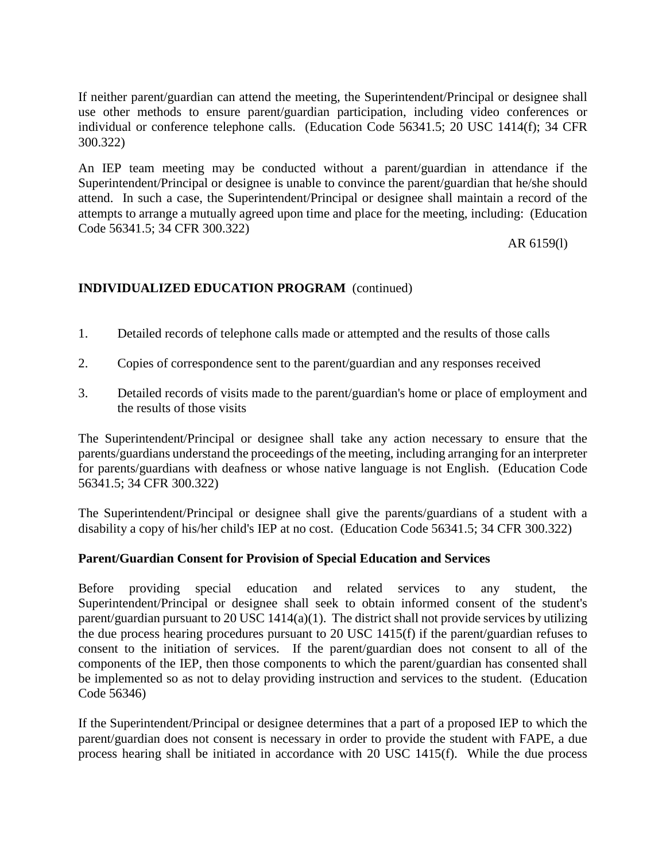If neither parent/guardian can attend the meeting, the Superintendent/Principal or designee shall use other methods to ensure parent/guardian participation, including video conferences or individual or conference telephone calls. (Education Code 56341.5; 20 USC 1414(f); 34 CFR 300.322)

An IEP team meeting may be conducted without a parent/guardian in attendance if the Superintendent/Principal or designee is unable to convince the parent/guardian that he/she should attend. In such a case, the Superintendent/Principal or designee shall maintain a record of the attempts to arrange a mutually agreed upon time and place for the meeting, including: (Education Code 56341.5; 34 CFR 300.322)

AR 6159(l)

# **INDIVIDUALIZED EDUCATION PROGRAM** (continued)

- 1. Detailed records of telephone calls made or attempted and the results of those calls
- 2. Copies of correspondence sent to the parent/guardian and any responses received
- 3. Detailed records of visits made to the parent/guardian's home or place of employment and the results of those visits

The Superintendent/Principal or designee shall take any action necessary to ensure that the parents/guardians understand the proceedings of the meeting, including arranging for an interpreter for parents/guardians with deafness or whose native language is not English. (Education Code 56341.5; 34 CFR 300.322)

The Superintendent/Principal or designee shall give the parents/guardians of a student with a disability a copy of his/her child's IEP at no cost. (Education Code 56341.5; 34 CFR 300.322)

# **Parent/Guardian Consent for Provision of Special Education and Services**

Before providing special education and related services to any student, the Superintendent/Principal or designee shall seek to obtain informed consent of the student's parent/guardian pursuant to 20 USC 1414(a)(1). The district shall not provide services by utilizing the due process hearing procedures pursuant to 20 USC 1415(f) if the parent/guardian refuses to consent to the initiation of services. If the parent/guardian does not consent to all of the components of the IEP, then those components to which the parent/guardian has consented shall be implemented so as not to delay providing instruction and services to the student. (Education Code 56346)

If the Superintendent/Principal or designee determines that a part of a proposed IEP to which the parent/guardian does not consent is necessary in order to provide the student with FAPE, a due process hearing shall be initiated in accordance with 20 USC 1415(f). While the due process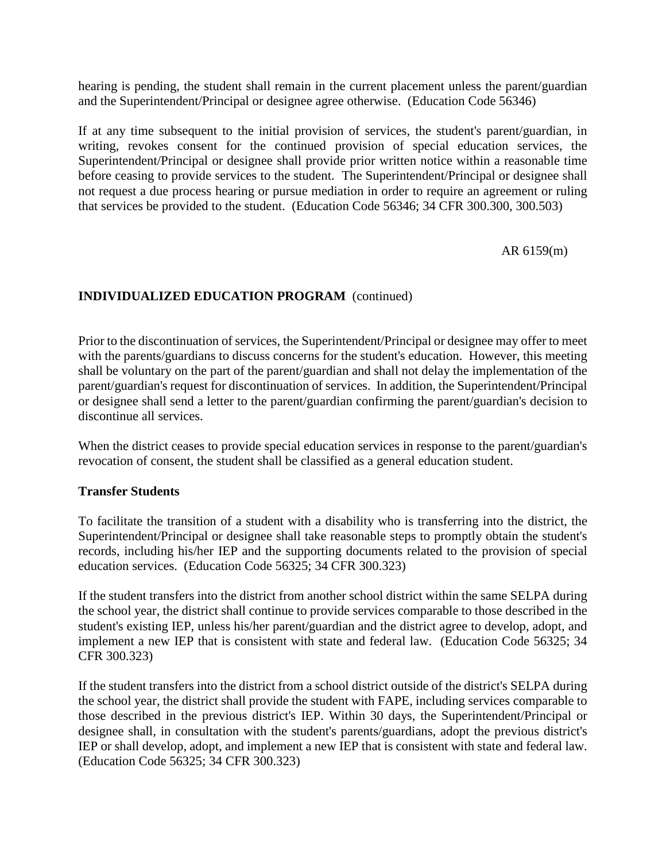hearing is pending, the student shall remain in the current placement unless the parent/guardian and the Superintendent/Principal or designee agree otherwise. (Education Code 56346)

If at any time subsequent to the initial provision of services, the student's parent/guardian, in writing, revokes consent for the continued provision of special education services, the Superintendent/Principal or designee shall provide prior written notice within a reasonable time before ceasing to provide services to the student. The Superintendent/Principal or designee shall not request a due process hearing or pursue mediation in order to require an agreement or ruling that services be provided to the student. (Education Code 56346; 34 CFR 300.300, 300.503)

AR 6159(m)

# **INDIVIDUALIZED EDUCATION PROGRAM** (continued)

Prior to the discontinuation of services, the Superintendent/Principal or designee may offer to meet with the parents/guardians to discuss concerns for the student's education. However, this meeting shall be voluntary on the part of the parent/guardian and shall not delay the implementation of the parent/guardian's request for discontinuation of services. In addition, the Superintendent/Principal or designee shall send a letter to the parent/guardian confirming the parent/guardian's decision to discontinue all services.

When the district ceases to provide special education services in response to the parent/guardian's revocation of consent, the student shall be classified as a general education student.

### **Transfer Students**

To facilitate the transition of a student with a disability who is transferring into the district, the Superintendent/Principal or designee shall take reasonable steps to promptly obtain the student's records, including his/her IEP and the supporting documents related to the provision of special education services. (Education Code 56325; 34 CFR 300.323)

If the student transfers into the district from another school district within the same SELPA during the school year, the district shall continue to provide services comparable to those described in the student's existing IEP, unless his/her parent/guardian and the district agree to develop, adopt, and implement a new IEP that is consistent with state and federal law. (Education Code 56325; 34 CFR 300.323)

If the student transfers into the district from a school district outside of the district's SELPA during the school year, the district shall provide the student with FAPE, including services comparable to those described in the previous district's IEP. Within 30 days, the Superintendent/Principal or designee shall, in consultation with the student's parents/guardians, adopt the previous district's IEP or shall develop, adopt, and implement a new IEP that is consistent with state and federal law. (Education Code 56325; 34 CFR 300.323)